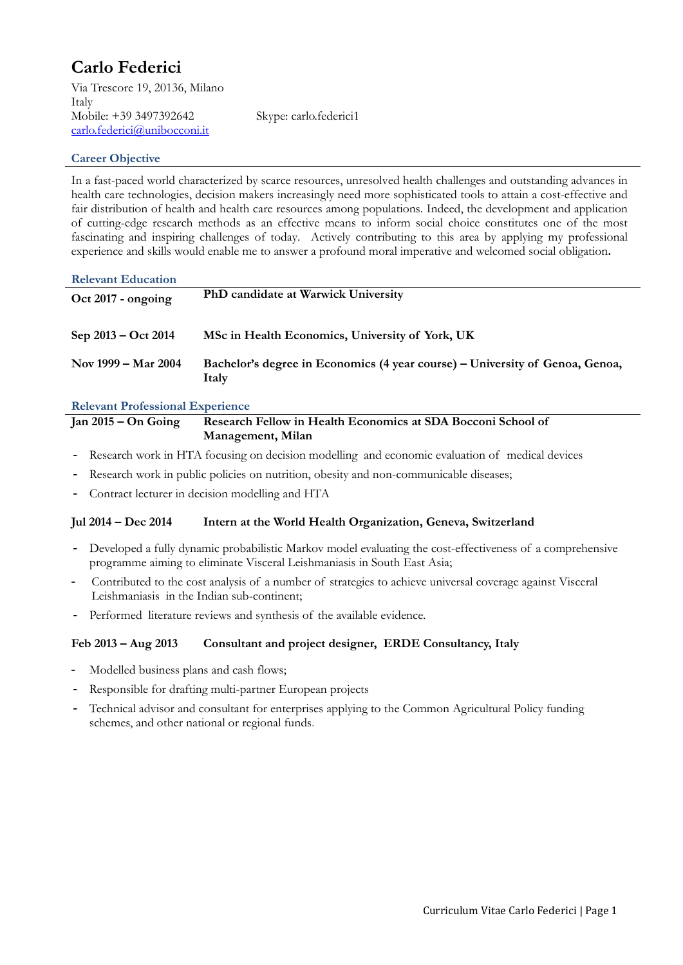# **Carlo Federici**

Via Trescore 19, 20136, Milano Italy Mobile: +39 3497392642 Skype: carlo.federici1 [carlo.federici@unibocconi.it](mailto:carlo.federici@unibocconi.it)

## **Career Objective**

In a fast-paced world characterized by scarce resources, unresolved health challenges and outstanding advances in health care technologies, decision makers increasingly need more sophisticated tools to attain a cost-effective and fair distribution of health and health care resources among populations. Indeed, the development and application of cutting-edge research methods as an effective means to inform social choice constitutes one of the most fascinating and inspiring challenges of today. Actively contributing to this area by applying my professional experience and skills would enable me to answer a profound moral imperative and welcomed social obligation**.**

| <b>Relevant Education</b> |                                                                                       |
|---------------------------|---------------------------------------------------------------------------------------|
| $Oct 2017 - ongoing$      | PhD candidate at Warwick University                                                   |
| $Sep 2013 - Oct 2014$     | MSc in Health Economics, University of York, UK                                       |
| Nov 1999 – Mar 2004       | Bachelor's degree in Economics (4 year course) – University of Genoa, Genoa,<br>Italy |

## **Relevant Professional Experience**

### **Jan 2015 – On Going Research Fellow in Health Economics at SDA Bocconi School of Management, Milan**

- Research work in HTA focusing on decision modelling and economic evaluation of medical devices
- Research work in public policies on nutrition, obesity and non-communicable diseases;
- Contract lecturer in decision modelling and HTA

## **Jul 2014 – Dec 2014 Intern at the World Health Organization, Geneva, Switzerland**

- Developed a fully dynamic probabilistic Markov model evaluating the cost-effectiveness of a comprehensive programme aiming to eliminate Visceral Leishmaniasis in South East Asia;
- Contributed to the cost analysis of a number of strategies to achieve universal coverage against Visceral Leishmaniasis in the Indian sub-continent;
- Performed literature reviews and synthesis of the available evidence.

## **Feb 2013 – Aug 2013 Consultant and project designer, ERDE Consultancy, Italy**

- Modelled business plans and cash flows;
- Responsible for drafting multi-partner European projects
- Technical advisor and consultant for enterprises applying to the Common Agricultural Policy funding schemes, and other national or regional funds.